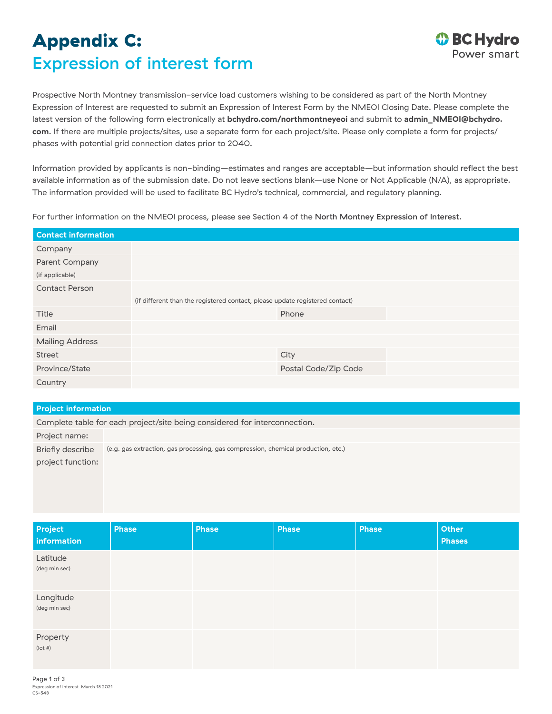## Appendix C: Expression of interest form



Prospective North Montney transmission-service load customers wishing to be considered as part of the North Montney Expression of Interest are requested to submit an Expression of Interest Form by the NMEOI Closing Date. Please complete the latest version of the following form electronically at **[bchydro.com/northmontneyeoi](http://bchydro.com/northmontneyeoi)** and submit to **[admin\\_NMEOI@bchydro.](mailto:admin_NMEOI%40bchydro.com?subject=) [com](mailto:admin_NMEOI%40bchydro.com?subject=)**. If there are multiple projects/sites, use a separate form for each project/site. Please only complete a form for projects/ phases with potential grid connection dates prior to 2040.

Information provided by applicants is non-binding—estimates and ranges are acceptable—but information should reflect the best available information as of the submission date. Do not leave sections blank—use None or Not Applicable (N/A), as appropriate. The information provided will be used to facilitate BC Hydro's technical, commercial, and regulatory planning.

For further information on the NMEOI process, please see Section 4 of the [North Montney Expression of Interest](http://bchydro.com/northmontneyeoi).

| <b>Contact information</b> |                                                                              |  |  |
|----------------------------|------------------------------------------------------------------------------|--|--|
| Company                    |                                                                              |  |  |
| Parent Company             |                                                                              |  |  |
| (if applicable)            |                                                                              |  |  |
| <b>Contact Person</b>      |                                                                              |  |  |
|                            | (if different than the registered contact, please update registered contact) |  |  |
| Title                      | Phone                                                                        |  |  |
| Email                      |                                                                              |  |  |
| <b>Mailing Address</b>     |                                                                              |  |  |
| Street                     | City                                                                         |  |  |
| Province/State             | Postal Code/Zip Code                                                         |  |  |
| Country                    |                                                                              |  |  |

## **Project information**

Complete table for each project/site being considered for interconnection.

| (e.g. gas extraction, gas processing, gas compression, chemical production, etc.) |
|-----------------------------------------------------------------------------------|
|                                                                                   |
|                                                                                   |

| Project<br>information     | <b>Phase</b> | <b>Phase</b> | Phase | <b>Phase</b> | Other<br><b>Phases</b> |
|----------------------------|--------------|--------------|-------|--------------|------------------------|
| Latitude<br>(deg min sec)  |              |              |       |              |                        |
| Longitude<br>(deg min sec) |              |              |       |              |                        |
| Property<br>$($ lot # $)$  |              |              |       |              |                        |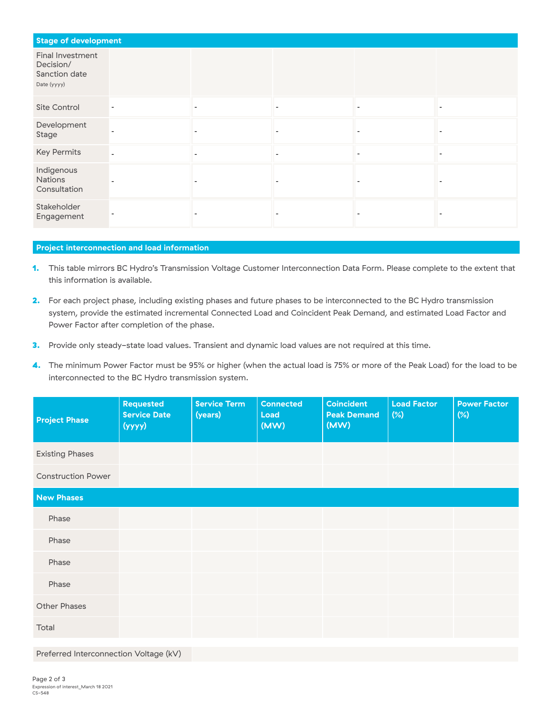| <b>Stage of development</b>                                   |  |                          |   |                          |
|---------------------------------------------------------------|--|--------------------------|---|--------------------------|
| Final Investment<br>Decision/<br>Sanction date<br>Date (yyyy) |  |                          |   |                          |
| Site Control                                                  |  | $\overline{\phantom{a}}$ |   |                          |
| Development<br>Stage                                          |  | $\overline{\phantom{0}}$ |   |                          |
| <b>Key Permits</b>                                            |  | $\overline{\phantom{a}}$ | ۰ | $\overline{\phantom{a}}$ |
| Indigenous<br>Nations<br>Consultation                         |  | -                        |   |                          |
| Stakeholder<br>Engagement                                     |  |                          |   |                          |

## **Project interconnection and load information**

- 1. This table mirrors BC Hydro's Transmission Voltage Customer Interconnection Data Form. Please complete to the extent that this information is available.
- 2. For each project phase, including existing phases and future phases to be interconnected to the BC Hydro transmission system, provide the estimated incremental Connected Load and Coincident Peak Demand, and estimated Load Factor and Power Factor after completion of the phase.
- 3. Provide only steady-state load values. Transient and dynamic load values are not required at this time.
- 4. The minimum Power Factor must be 95% or higher (when the actual load is 75% or more of the Peak Load) for the load to be interconnected to the BC Hydro transmission system.

| <b>Project Phase</b>      | <b>Requested</b><br><b>Service Date</b><br>(yyy) | <b>Service Term</b><br>(years) | <b>Connected</b><br>Load<br>(MW) | <b>Coincident</b><br><b>Peak Demand</b><br>(MW) | <b>Load Factor</b><br>$(\%)$ | <b>Power Factor</b><br>$(\%)$ |
|---------------------------|--------------------------------------------------|--------------------------------|----------------------------------|-------------------------------------------------|------------------------------|-------------------------------|
| <b>Existing Phases</b>    |                                                  |                                |                                  |                                                 |                              |                               |
| <b>Construction Power</b> |                                                  |                                |                                  |                                                 |                              |                               |
| <b>New Phases</b>         |                                                  |                                |                                  |                                                 |                              |                               |
| Phase                     |                                                  |                                |                                  |                                                 |                              |                               |
| Phase                     |                                                  |                                |                                  |                                                 |                              |                               |
| Phase                     |                                                  |                                |                                  |                                                 |                              |                               |
| Phase                     |                                                  |                                |                                  |                                                 |                              |                               |
| <b>Other Phases</b>       |                                                  |                                |                                  |                                                 |                              |                               |
| Total                     |                                                  |                                |                                  |                                                 |                              |                               |

Preferred Interconnection Voltage (kV)